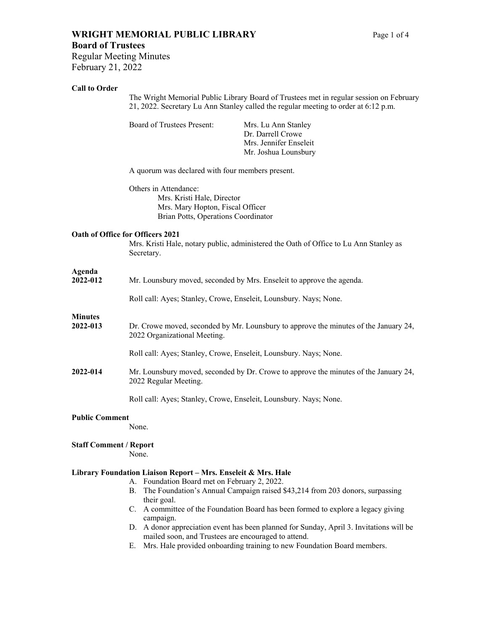## **WRIGHT MEMORIAL PUBLIC LIBRARY** Page 1 of 4 **Board of Trustees**

Regular Meeting Minutes February 21, 2022

#### **Call to Order**

The Wright Memorial Public Library Board of Trustees met in regular session on February 21, 2022. Secretary Lu Ann Stanley called the regular meeting to order at 6:12 p.m.

Board of Trustees Present: Mrs. Lu Ann Stanley

Dr. Darrell Crowe Mrs. Jennifer Enseleit Mr. Joshua Lounsbury

A quorum was declared with four members present.

Others in Attendance: Mrs. Kristi Hale, Director Mrs. Mary Hopton, Fiscal Officer Brian Potts, Operations Coordinator

#### **Oath of Office for Officers 2021**

Mrs. Kristi Hale, notary public, administered the Oath of Office to Lu Ann Stanley as Secretary.

## **Agenda**

| $1 - 1$<br>2022-012        | Mr. Lounsbury moved, seconded by Mrs. Enseleit to approve the agenda.                                                |
|----------------------------|----------------------------------------------------------------------------------------------------------------------|
|                            | Roll call: Ayes; Stanley, Crowe, Enseleit, Lounsbury. Nays; None.                                                    |
| <b>Minutes</b><br>2022-013 | Dr. Crowe moved, seconded by Mr. Lounsbury to approve the minutes of the January 24,<br>2022 Organizational Meeting. |
|                            | Roll call: Ayes; Stanley, Crowe, Enseleit, Lounsbury, Nays; None.                                                    |
| 2022-014                   | Mr. Lounsbury moved, seconded by Dr. Crowe to approve the minutes of the January 24,<br>2022 Regular Meeting.        |
|                            | Roll call: Ayes; Stanley, Crowe, Enseleit, Lounsbury. Nays; None.                                                    |
|                            |                                                                                                                      |

## **Public Comment**

None.

## **Staff Comment / Report**

None.

#### **Library Foundation Liaison Report – Mrs. Enseleit & Mrs. Hale**

- A. Foundation Board met on February 2, 2022.
- B. The Foundation's Annual Campaign raised \$43,214 from 203 donors, surpassing their goal.
- C. A committee of the Foundation Board has been formed to explore a legacy giving campaign.
- D. A donor appreciation event has been planned for Sunday, April 3. Invitations will be mailed soon, and Trustees are encouraged to attend.
- E. Mrs. Hale provided onboarding training to new Foundation Board members.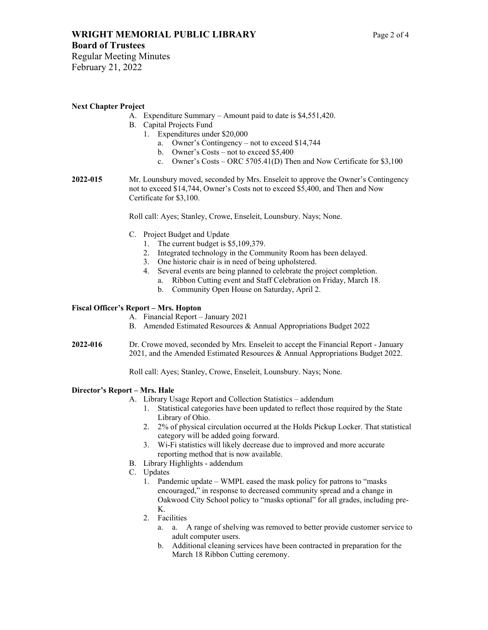## **Board of Trustees**

Regular Meeting Minutes February 21, 2022

## **Next Chapter Project**

- A. Expenditure Summary Amount paid to date is \$4,551,420.
- B. Capital Projects Fund
	- 1. Expenditures under \$20,000
		- a. Owner's Contingency not to exceed \$14,744
		- b. Owner's Costs not to exceed \$5,400
		- c. Owner's Costs ORC 5705.41(D) Then and Now Certificate for \$3,100
- **2022-015** Mr. Lounsbury moved, seconded by Mrs. Enseleit to approve the Owner's Contingency not to exceed \$14,744, Owner's Costs not to exceed \$5,400, and Then and Now Certificate for \$3,100.

Roll call: Ayes; Stanley, Crowe, Enseleit, Lounsbury. Nays; None.

- C. Project Budget and Update
	- 1. The current budget is \$5,109,379.
	- 2. Integrated technology in the Community Room has been delayed.
	- 3. One historic chair is in need of being upholstered.
	- 4. Several events are being planned to celebrate the project completion.
		- a. Ribbon Cutting event and Staff Celebration on Friday, March 18.
		- b. Community Open House on Saturday, April 2.

## **Fiscal Officer's Report – Mrs. Hopton**

- A. Financial Report January 2021
- B. Amended Estimated Resources & Annual Appropriations Budget 2022
- **2022-016** Dr. Crowe moved, seconded by Mrs. Enseleit to accept the Financial Report January 2021, and the Amended Estimated Resources & Annual Appropriations Budget 2022.

Roll call: Ayes; Stanley, Crowe, Enseleit, Lounsbury. Nays; None.

## **Director's Report – Mrs. Hale**

- A. Library Usage Report and Collection Statistics addendum
	- 1. Statistical categories have been updated to reflect those required by the State Library of Ohio.
	- 2. 2% of physical circulation occurred at the Holds Pickup Locker. That statistical category will be added going forward.
	- 3. Wi-Fi statistics will likely decrease due to improved and more accurate reporting method that is now available.
- B. Library Highlights addendum
- C. Updates
	- 1. Pandemic update WMPL eased the mask policy for patrons to "masks encouraged," in response to decreased community spread and a change in Oakwood City School policy to "masks optional" for all grades, including pre-K.
	- 2. Facilities
		- a. a. A range of shelving was removed to better provide customer service to adult computer users.
		- b. Additional cleaning services have been contracted in preparation for the March 18 Ribbon Cutting ceremony.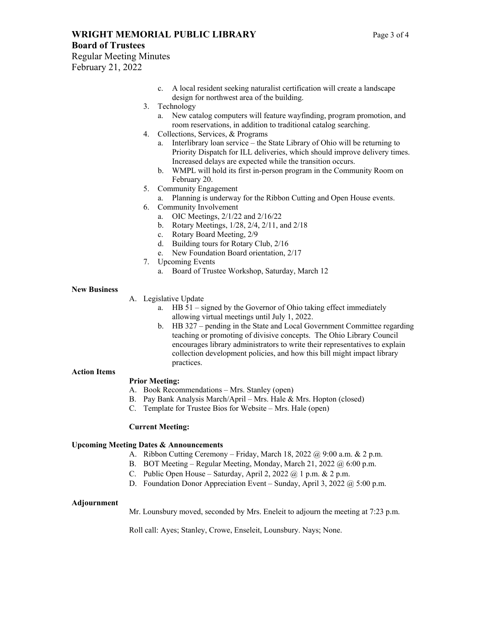## **WRIGHT MEMORIAL PUBLIC LIBRARY** Page 3 of 4

#### **Board of Trustees**

Regular Meeting Minutes February 21, 2022

- c. A local resident seeking naturalist certification will create a landscape design for northwest area of the building.
- 3. Technology
	- a. New catalog computers will feature wayfinding, program promotion, and room reservations, in addition to traditional catalog searching.
- 4. Collections, Services, & Programs
	- a. Interlibrary loan service the State Library of Ohio will be returning to Priority Dispatch for ILL deliveries, which should improve delivery times. Increased delays are expected while the transition occurs.
	- b. WMPL will hold its first in-person program in the Community Room on February 20.
- 5. Community Engagement
	- a. Planning is underway for the Ribbon Cutting and Open House events.
- 6. Community Involvement
	- a. OIC Meetings, 2/1/22 and 2/16/22
	- b. Rotary Meetings, 1/28, 2/4, 2/11, and 2/18
	- c. Rotary Board Meeting, 2/9
	- d. Building tours for Rotary Club, 2/16
	- e. New Foundation Board orientation, 2/17
- 7. Upcoming Events
	- a. Board of Trustee Workshop, Saturday, March 12

#### **New Business**

- A. Legislative Update
	- a. HB 51 signed by the Governor of Ohio taking effect immediately allowing virtual meetings until July 1, 2022.
	- b. HB 327 pending in the State and Local Government Committee regarding teaching or promoting of divisive concepts. The Ohio Library Council encourages library administrators to write their representatives to explain collection development policies, and how this bill might impact library practices.

## **Action Items**

#### **Prior Meeting:**

- A. Book Recommendations Mrs. Stanley (open)
- B. Pay Bank Analysis March/April Mrs. Hale & Mrs. Hopton (closed)
- C. Template for Trustee Bios for Website Mrs. Hale (open)

#### **Current Meeting:**

#### **Upcoming Meeting Dates & Announcements**

- A. Ribbon Cutting Ceremony Friday, March 18, 2022 @ 9:00 a.m. & 2 p.m.
- B. BOT Meeting Regular Meeting, Monday, March 21, 2022 @ 6:00 p.m.
- C. Public Open House Saturday, April 2, 2022 @ 1 p.m. & 2 p.m.
- D. Foundation Donor Appreciation Event Sunday, April 3, 2022 @ 5:00 p.m.

#### **Adjournment**

Mr. Lounsbury moved, seconded by Mrs. Eneleit to adjourn the meeting at 7:23 p.m.

Roll call: Ayes; Stanley, Crowe, Enseleit, Lounsbury. Nays; None.